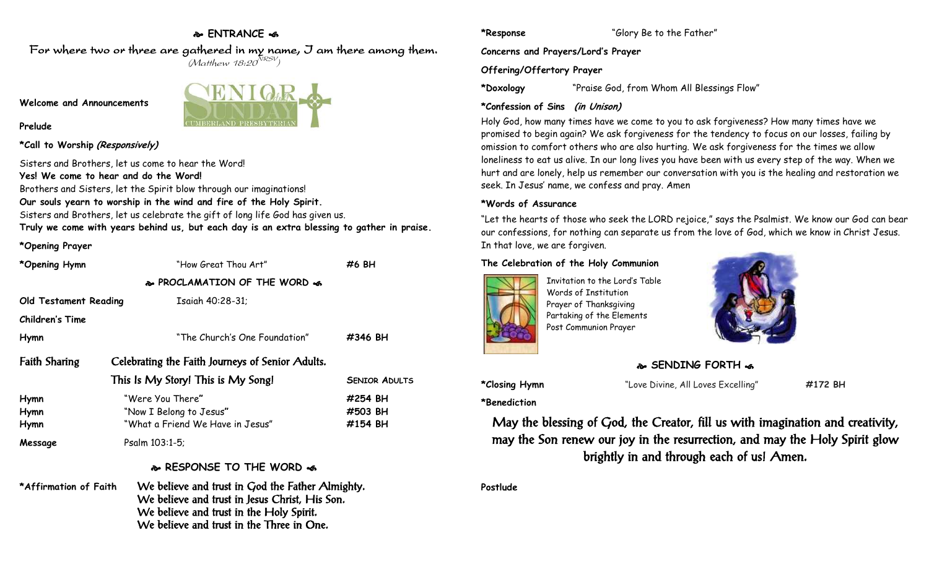# **ENTRANCE**

For where two or three are gathered in my name, I am there among them.  $(M$ atthew 18:20 $^{NRSV})$ 

**Welcome and Announcements**

#### **Prelude**

**\*Call to Worship (Responsively)**

Sisters and Brothers, let us come to hear the Word! **Yes! We come to hear and do the Word!** Brothers and Sisters, let the Spirit blow through our imaginations! **Our souls yearn to worship in the wind and fire of the Holy Spirit.** Sisters and Brothers, let us celebrate the gift of long life God has given us. **Truly we come with years behind us, but each day is an extra blessing to gather in praise.**

#### **\*Opening Prayer**

| *Opening Hymn                | "How Great Thou Art"                                                                                                                                                                        | #6 BH                         |
|------------------------------|---------------------------------------------------------------------------------------------------------------------------------------------------------------------------------------------|-------------------------------|
|                              | & PROCLAMATION OF THE WORD &                                                                                                                                                                |                               |
| <b>Old Testament Reading</b> | Isaiah 40:28-31;                                                                                                                                                                            |                               |
| <b>Children's Time</b>       |                                                                                                                                                                                             |                               |
| Hymn                         | "The Church's One Foundation"                                                                                                                                                               | #346 BH                       |
| <b>Faith Sharing</b>         | Celebrating the Faith Journeys of Senior Adults.                                                                                                                                            |                               |
|                              | This Is My Story! This is My Song!                                                                                                                                                          | <b>SENIOR ADULTS</b>          |
| Hymn<br>Hymn<br>Hymn         | "Were You There"<br>"Now I Belong to Jesus"<br>"What a Friend We Have in Jesus"                                                                                                             | #254 BH<br>#503 BH<br>#154 BH |
| Message                      | Psalm 103:1-5;                                                                                                                                                                              |                               |
|                              | & RESPONSE TO THE WORD &                                                                                                                                                                    |                               |
| *Affirmation of Faith        | We believe and trust in God the Father Almighty.<br>We believe and trust in Jesus Christ, His Son.<br>We believe and trust in the Holy Spirit.<br>We believe and trust in the Three in One. |                               |

**\*Doxology** "Praise God, from Whom All Blessings Flow"

## **\*Confession of Sins (in Unison)**

Holy God, how many times have we come to you to ask forgiveness? How many times have we promised to begin again? We ask forgiveness for the tendency to focus on our losses, failing by omission to comfort others who are also hurting. We ask forgiveness for the times we allow loneliness to eat us alive. In our long lives you have been with us every step of the way. When we hurt and are lonely, help us remember our conversation with you is the healing and restoration we seek. In Jesus' name, we confess and pray. Amen

### **\*Words of Assurance**

"Let the hearts of those who seek the LORD rejoice," says the Psalmist. We know our God can bear our confessions, for nothing can separate us from the love of God, which we know in Christ Jesus. In that love, we are forgiven.

## **The Celebration of the Holy Communion**



Invitation to the Lord's Table Words of Institution Prayer of Thanksgiving Partaking of the Elements Post Communion Prayer



# **SENDING FORTH**  $\bullet$

**\*Closing Hymn** "Love Divine, All Loves Excelling" **#172 BH**

**\*Benediction**

May the blessing of God, the Creator, fill us with imagination and creativity, may the Son renew our joy in the resurrection, and may the Holy Spirit glow brightly in and through each of us! Amen.

**Postlude**

**\*Response** "Glory Be to the Father"

**Concerns and Prayers/Lord's Prayer**

## **Offering/Offertory Prayer**